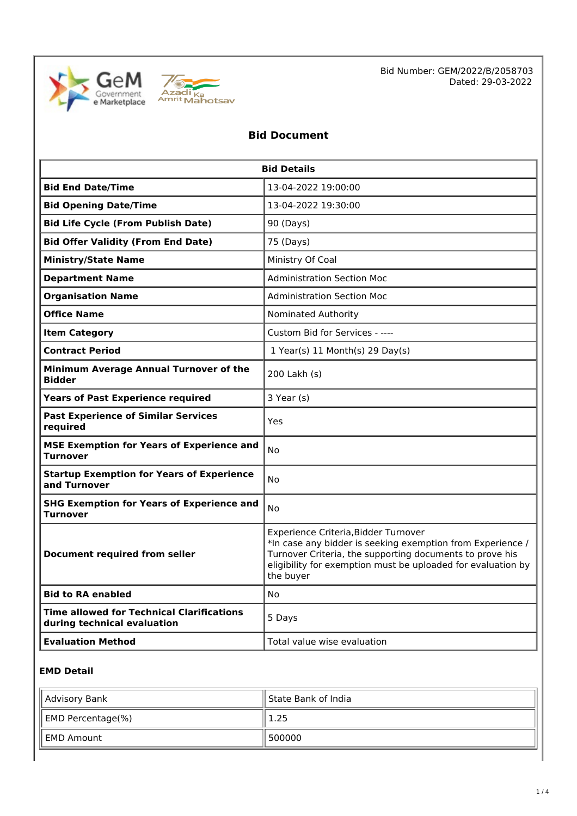



Bid Number: GEM/2022/B/2058703 Dated: 29-03-2022

## **Bid Document**

| <b>Bid Details</b>                                                       |                                                                                                                                                                                                                                             |
|--------------------------------------------------------------------------|---------------------------------------------------------------------------------------------------------------------------------------------------------------------------------------------------------------------------------------------|
| <b>Bid End Date/Time</b>                                                 | 13-04-2022 19:00:00                                                                                                                                                                                                                         |
| <b>Bid Opening Date/Time</b>                                             | 13-04-2022 19:30:00                                                                                                                                                                                                                         |
| <b>Bid Life Cycle (From Publish Date)</b>                                | 90 (Days)                                                                                                                                                                                                                                   |
| <b>Bid Offer Validity (From End Date)</b>                                | 75 (Days)                                                                                                                                                                                                                                   |
| <b>Ministry/State Name</b>                                               | Ministry Of Coal                                                                                                                                                                                                                            |
| <b>Department Name</b>                                                   | <b>Administration Section Moc</b>                                                                                                                                                                                                           |
| <b>Organisation Name</b>                                                 | <b>Administration Section Moc</b>                                                                                                                                                                                                           |
| <b>Office Name</b>                                                       | Nominated Authority                                                                                                                                                                                                                         |
| <b>Item Category</b>                                                     | Custom Bid for Services - ----                                                                                                                                                                                                              |
| <b>Contract Period</b>                                                   | 1 Year(s) 11 Month(s) 29 Day(s)                                                                                                                                                                                                             |
| Minimum Average Annual Turnover of the<br><b>Bidder</b>                  | 200 Lakh (s)                                                                                                                                                                                                                                |
| <b>Years of Past Experience required</b>                                 | 3 Year (s)                                                                                                                                                                                                                                  |
| <b>Past Experience of Similar Services</b><br>required                   | Yes                                                                                                                                                                                                                                         |
| <b>MSE Exemption for Years of Experience and</b><br><b>Turnover</b>      | No                                                                                                                                                                                                                                          |
| <b>Startup Exemption for Years of Experience</b><br>and Turnover         | No                                                                                                                                                                                                                                          |
| <b>SHG Exemption for Years of Experience and</b><br><b>Turnover</b>      | No                                                                                                                                                                                                                                          |
| <b>Document required from seller</b>                                     | Experience Criteria, Bidder Turnover<br>*In case any bidder is seeking exemption from Experience /<br>Turnover Criteria, the supporting documents to prove his<br>eligibility for exemption must be uploaded for evaluation by<br>the buyer |
| <b>Bid to RA enabled</b>                                                 | <b>No</b>                                                                                                                                                                                                                                   |
| Time allowed for Technical Clarifications<br>during technical evaluation | 5 Days                                                                                                                                                                                                                                      |
| <b>Evaluation Method</b>                                                 | Total value wise evaluation                                                                                                                                                                                                                 |

#### **EMD Detail**

| Advisory Bank     | State Bank of India |
|-------------------|---------------------|
| EMD Percentage(%) | 1.25                |
| ll EMD Amount     | 500000              |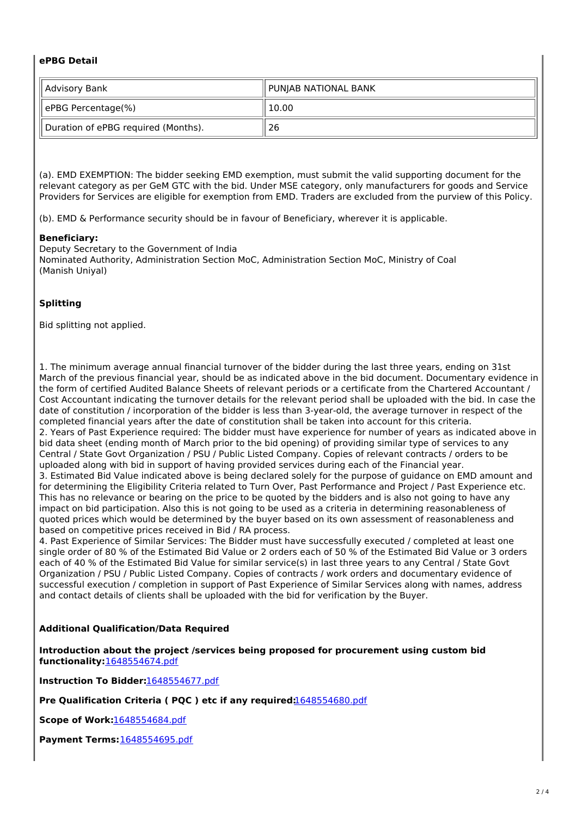#### **ePBG Detail**

| Advisory Bank                       | PUNJAB NATIONAL BANK |
|-------------------------------------|----------------------|
| ePBG Percentage(%)                  | 10.00                |
| Duration of ePBG required (Months). | 26                   |

(a). EMD EXEMPTION: The bidder seeking EMD exemption, must submit the valid supporting document for the relevant category as per GeM GTC with the bid. Under MSE category, only manufacturers for goods and Service Providers for Services are eligible for exemption from EMD. Traders are excluded from the purview of this Policy.

(b). EMD & Performance security should be in favour of Beneficiary, wherever it is applicable.

#### **Beneficiary:**

Deputy Secretary to the Government of India Nominated Authority, Administration Section MoC, Administration Section MoC, Ministry of Coal (Manish Uniyal)

## **Splitting**

Bid splitting not applied.

1. The minimum average annual financial turnover of the bidder during the last three years, ending on 31st March of the previous financial year, should be as indicated above in the bid document. Documentary evidence in the form of certified Audited Balance Sheets of relevant periods or a certificate from the Chartered Accountant / Cost Accountant indicating the turnover details for the relevant period shall be uploaded with the bid. In case the date of constitution / incorporation of the bidder is less than 3-year-old, the average turnover in respect of the completed financial years after the date of constitution shall be taken into account for this criteria. 2. Years of Past Experience required: The bidder must have experience for number of years as indicated above in bid data sheet (ending month of March prior to the bid opening) of providing similar type of services to any Central / State Govt Organization / PSU / Public Listed Company. Copies of relevant contracts / orders to be uploaded along with bid in support of having provided services during each of the Financial year. 3. Estimated Bid Value indicated above is being declared solely for the purpose of guidance on EMD amount and for determining the Eligibility Criteria related to Turn Over, Past Performance and Project / Past Experience etc. This has no relevance or bearing on the price to be quoted by the bidders and is also not going to have any impact on bid participation. Also this is not going to be used as a criteria in determining reasonableness of quoted prices which would be determined by the buyer based on its own assessment of reasonableness and based on competitive prices received in Bid / RA process.

4. Past Experience of Similar Services: The Bidder must have successfully executed / completed at least one single order of 80 % of the Estimated Bid Value or 2 orders each of 50 % of the Estimated Bid Value or 3 orders each of 40 % of the Estimated Bid Value for similar service(s) in last three years to any Central / State Govt Organization / PSU / Public Listed Company. Copies of contracts / work orders and documentary evidence of successful execution / completion in support of Past Experience of Similar Services along with names, address and contact details of clients shall be uploaded with the bid for verification by the Buyer.

#### **Additional Qualification/Data Required**

**Introduction about the project /services being proposed for procurement using custom bid functionality:**1648554674.pdf

**Instruction To Bidder:**1648554677.pdf

**Pre Qualification Criteria ( PQC ) etc if any required:**1648554680.pdf

**Scope of Work:**1648554684.pdf

**Payment Terms:**1648554695.pdf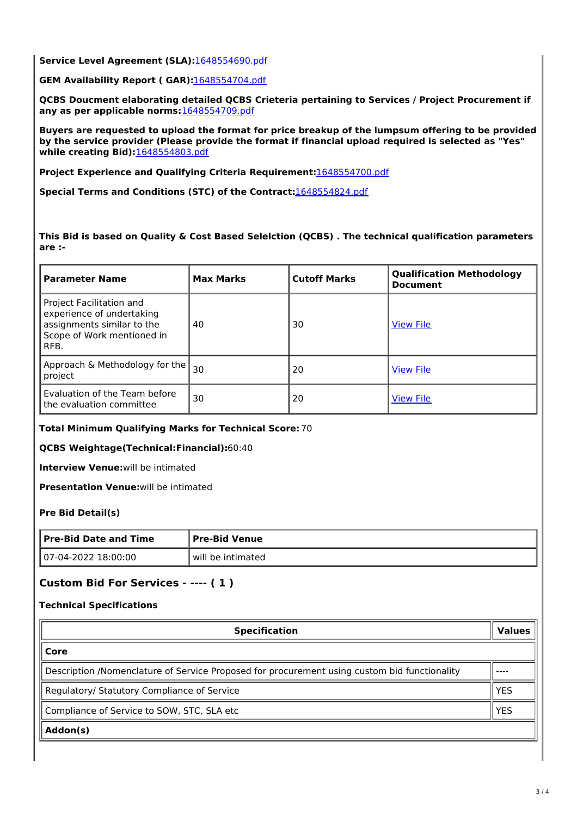**Service Level Agreement (SLA):**1648554690.pdf

**GEM Availability Report ( GAR):**1648554704.pdf

**QCBS Doucment elaborating detailed QCBS Crieteria pertaining to Services / Project Procurement if any as per applicable norms:**1648554709.pdf

**Buyers are requested to upload the format for price breakup of the lumpsum offering to be provided by the service provider (Please provide the format if financial upload required is selected as "Yes" while creating Bid):**1648554803.pdf

**Project Experience and Qualifying Criteria Requirement:**1648554700.pdf

**Special Terms and Conditions (STC) of the Contract:**1648554824.pdf

**This Bid is based on Quality & Cost Based Selelction (QCBS) . The technical qualification parameters are :-**

| <b>Parameter Name</b>                                                                                                     | <b>Max Marks</b> | <b>Cutoff Marks</b> | <b>Qualification Methodology</b><br><b>Document</b> |
|---------------------------------------------------------------------------------------------------------------------------|------------------|---------------------|-----------------------------------------------------|
| Project Facilitation and<br>experience of undertaking<br>assignments similar to the<br>Scope of Work mentioned in<br>RFB. | 40               | 30                  | <b>View File</b>                                    |
| Approach & Methodology for the<br>project                                                                                 | 30               | 20                  | <b>View File</b>                                    |
| Evaluation of the Team before<br>the evaluation committee                                                                 | 30               | 20                  | <b>View File</b>                                    |

**Total Minimum Qualifying Marks for Technical Score:** 70

**QCBS Weightage(Technical:Financial):**60:40

**Interview Venue:**will be intimated

**Presentation Venue:**will be intimated

**Pre Bid Detail(s)**

| <b>Pre-Bid Date and Time</b> | Pre-Bid Venue     |
|------------------------------|-------------------|
| 107-04-2022 18:00:00         | will be intimated |

## **Custom Bid For Services - ---- ( 1 )**

#### **Technical Specifications**

| <b>Specification</b>                                                                         | <b>Values</b> |  |
|----------------------------------------------------------------------------------------------|---------------|--|
| Core                                                                                         |               |  |
| Description /Nomenclature of Service Proposed for procurement using custom bid functionality |               |  |
| Regulatory/ Statutory Compliance of Service                                                  |               |  |
| Compliance of Service to SOW, STC, SLA etc                                                   |               |  |
| Addon(s)                                                                                     |               |  |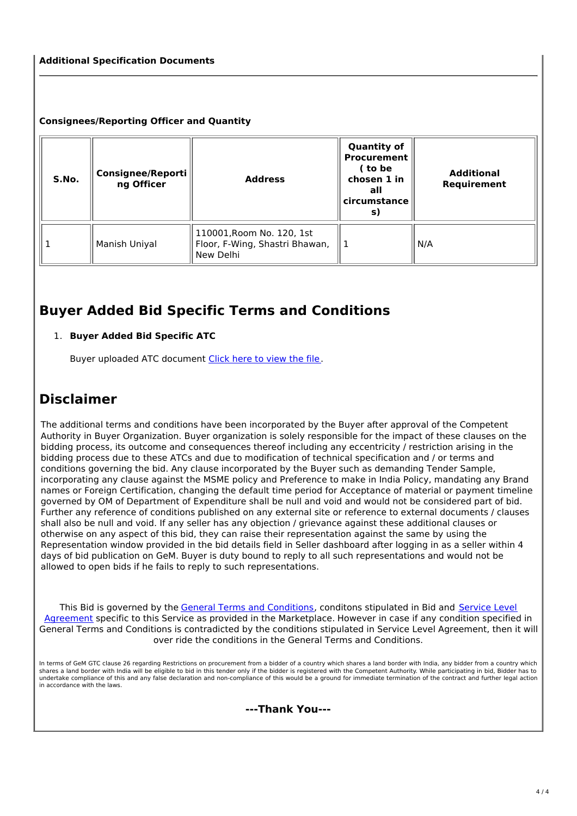#### **Additional Specification Documents**

#### **Consignees/Reporting Officer and Quantity**

| S.No. | <b>Consignee/Reporti</b><br>ng Officer | <b>Address</b>                                                           | <b>Quantity of</b><br><b>Procurement</b><br>( to be<br>chosen 1 in<br>all<br>circumstance<br>S) | <b>Additional</b><br>Requirement |
|-------|----------------------------------------|--------------------------------------------------------------------------|-------------------------------------------------------------------------------------------------|----------------------------------|
|       | Manish Uniyal                          | 110001, Room No. 120, 1st<br>Floor, F-Wing, Shastri Bhawan,<br>New Delhi |                                                                                                 | N/A                              |

# **Buyer Added Bid Specific Terms and Conditions**

### 1. **Buyer Added Bid Specific ATC**

Buyer uploaded ATC document Click here to view the file.

# **Disclaimer**

The additional terms and conditions have been incorporated by the Buyer after approval of the Competent Authority in Buyer Organization. Buyer organization is solely responsible for the impact of these clauses on the bidding process, its outcome and consequences thereof including any eccentricity / restriction arising in the bidding process due to these ATCs and due to modification of technical specification and / or terms and conditions governing the bid. Any clause incorporated by the Buyer such as demanding Tender Sample, incorporating any clause against the MSME policy and Preference to make in India Policy, mandating any Brand names or Foreign Certification, changing the default time period for Acceptance of material or payment timeline governed by OM of Department of Expenditure shall be null and void and would not be considered part of bid. Further any reference of conditions published on any external site or reference to external documents / clauses shall also be null and void. If any seller has any objection / grievance against these additional clauses or otherwise on any aspect of this bid, they can raise their representation against the same by using the Representation window provided in the bid details field in Seller dashboard after logging in as a seller within 4 days of bid publication on GeM. Buyer is duty bound to reply to all such representations and would not be allowed to open bids if he fails to reply to such representations.

This Bid is governed by the General Terms and Conditions, conditons stipulated in Bid and Service Level Agreement specific to this Service as provided in the Marketplace. However in case if any condition specified in General Terms and Conditions is contradicted by the conditions stipulated in Service Level Agreement, then it will over ride the conditions in the General Terms and Conditions.

In terms of GeM GTC clause 26 regarding Restrictions on procurement from a bidder of a country which shares a land border with India, any bidder from a country which shares a land border with India will be eligible to bid in this tender only if the bidder is registered with the Competent Authority. While participating in bid, Bidder has to undertake compliance of this and any false declaration and non-compliance of this would be a ground for immediate termination of the contract and further legal action in accordance with the laws.

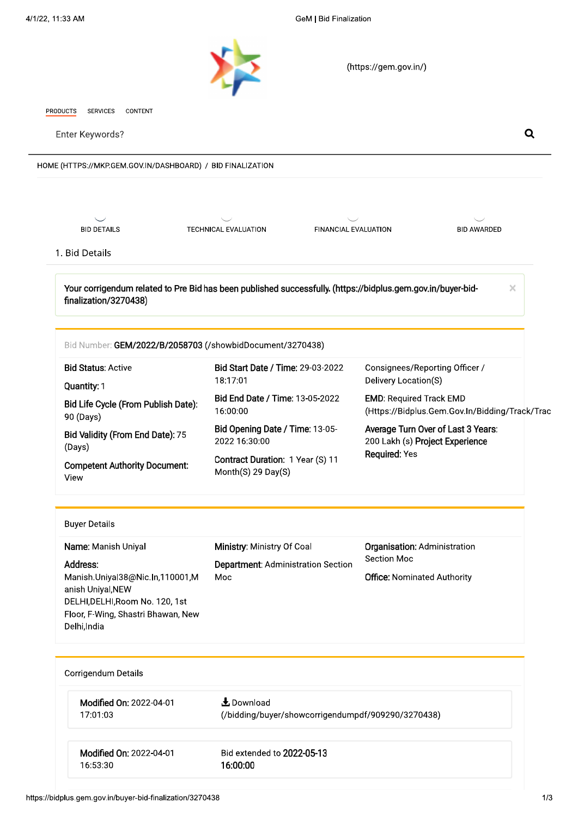

(https://gem.gov.in/)